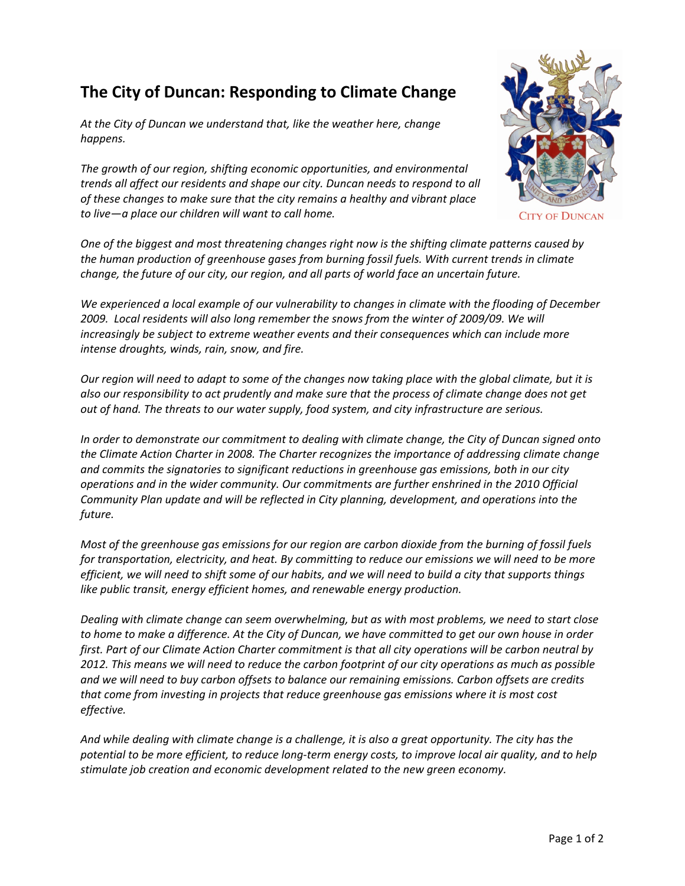## **The City of Duncan: Responding to Climate Change**

*At the City of Duncan we understand that, like the weather here, change happens.* 

*The growth of our region, shifting economic opportunities, and environmental trends all affect our residents and shape our city. Duncan needs to respond to all of these changes to make sure that the city remains a healthy and vibrant place to live—a place our children will want to call home.*

*One of the biggest and most threatening changes right now is the shifting climate patterns caused by the human production of greenhouse gases from burning fossil fuels. With current trends in climate change, the future of our city, our region, and all parts of world face an uncertain future.* 

*We experienced a local example of our vulnerability to changes in climate with the flooding of December 2009. Local residents will also long remember the snows from the winter of 2009/09. We will increasingly be subject to extreme weather events and their consequences which can include more intense droughts, winds, rain, snow, and fire.*

Our region will need to adapt to some of the changes now taking place with the global climate, but it is also our responsibility to act prudently and make sure that the process of climate change does not get *out of hand. The threats to our water supply, food system, and city infrastructure are serious.*

*In order to demonstrate our commitment to dealing with climate change, the City of Duncan signed onto the Climate Action Charter in 2008. The Charter recognizes the importance of addressing climate change and commits the signatories to significant reductions in greenhouse gas emissions, both in our city operations and in the wider community. Our commitments are further enshrined in the 2010 Official Community Plan update and will be reflected in City planning, development, and operations into the future.*

Most of the greenhouse gas emissions for our region are carbon dioxide from the burning of fossil fuels *for transportation, electricity, and heat. By committing to reduce our emissions we will need to be more* efficient, we will need to shift some of our habits, and we will need to build a city that supports things *like public transit, energy efficient homes, and renewable energy production.* 

*Dealing with climate change can seem overwhelming, but as with most problems, we need to start close* to home to make a difference. At the City of Duncan, we have committed to get our own house in order first. Part of our Climate Action Charter commitment is that all city operations will be carbon neutral by 2012. This means we will need to reduce the carbon footprint of our city operations as much as possible *and we will need to buy carbon offsets to balance our remaining emissions. Carbon offsets are credits that come from investing in projects that reduce greenhouse gas emissions where it is most cost effective.* 

And while dealing with climate change is a challenge, it is also a great opportunity. The city has the potential to be more efficient, to reduce long-term energy costs, to improve local air quality, and to help *stimulate job creation and economic development related to the new green economy.*